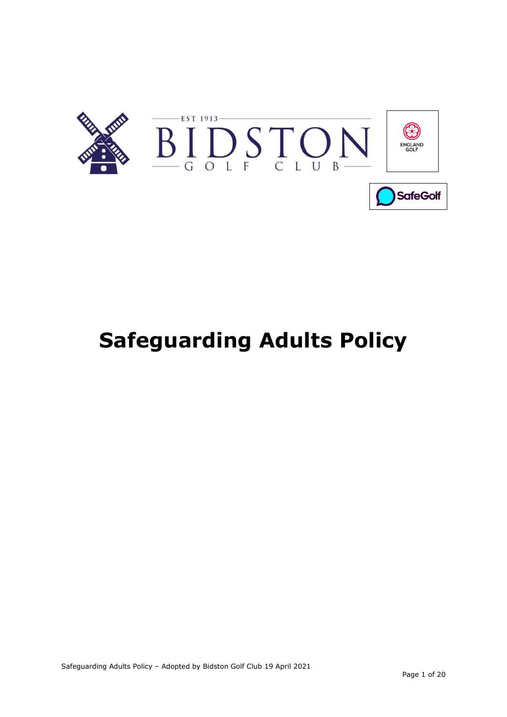

# **Safeguarding Adults Policy**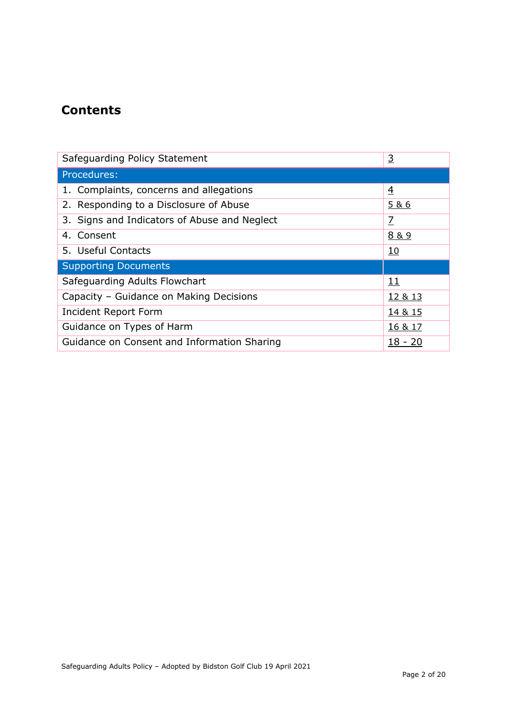# **Contents**

| Safeguarding Policy Statement                | <u>3</u>       |
|----------------------------------------------|----------------|
| Procedures:                                  |                |
| 1. Complaints, concerns and allegations      | $\overline{4}$ |
| 2. Responding to a Disclosure of Abuse       | <u>5&amp;6</u> |
| 3. Signs and Indicators of Abuse and Neglect | $\overline{Z}$ |
| 4. Consent                                   | 8 & 9          |
| 5. Useful Contacts                           | <u>10</u>      |
| <b>Supporting Documents</b>                  |                |
| Safeguarding Adults Flowchart                | <u> 11</u>     |
| Capacity - Guidance on Making Decisions      | 12 & 13        |
| Incident Report Form                         | 14 & 15        |
| Guidance on Types of Harm                    | 16 & 17        |
| Guidance on Consent and Information Sharing  | $18 - 20$      |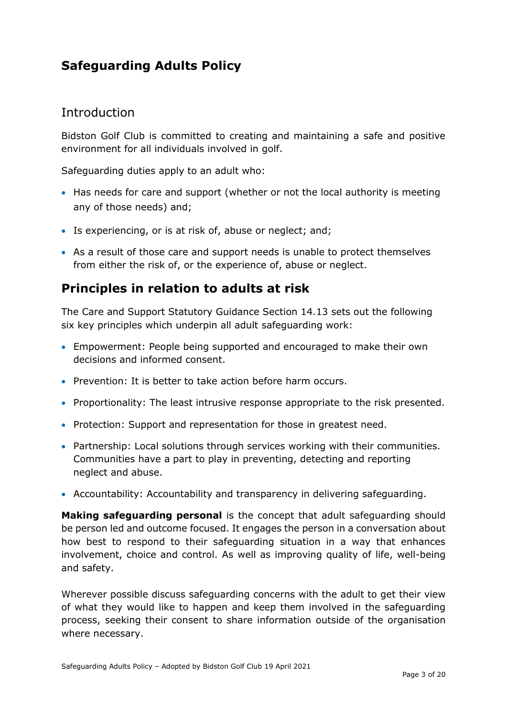# **Safeguarding Adults Policy**

# <span id="page-2-0"></span>**Introduction**

Bidston Golf Club is committed to creating and maintaining a safe and positive environment for all individuals involved in golf.

Safeguarding duties apply to an adult who:

- Has needs for care and support (whether or not the local authority is meeting any of those needs) and;
- Is experiencing, or is at risk of, abuse or neglect; and;
- As a result of those care and support needs is unable to protect themselves from either the risk of, or the experience of, abuse or neglect.

# **Principles in relation to adults at risk**

The Care and Support Statutory Guidance Section 14.13 sets out the following six key principles which underpin all adult safeguarding work:

- Empowerment: People being supported and encouraged to make their own decisions and informed consent.
- Prevention: It is better to take action before harm occurs.
- Proportionality: The least intrusive response appropriate to the risk presented.
- Protection: Support and representation for those in greatest need.
- Partnership: Local solutions through services working with their communities. Communities have a part to play in preventing, detecting and reporting neglect and abuse.
- Accountability: Accountability and transparency in delivering safeguarding.

**Making safeguarding personal** is the concept that adult safeguarding should be person led and outcome focused. It engages the person in a conversation about how best to respond to their safeguarding situation in a way that enhances involvement, choice and control. As well as improving quality of life, well-being and safety.

Wherever possible discuss safeguarding concerns with the adult to get their view of what they would like to happen and keep them involved in the safeguarding process, seeking their consent to share information outside of the organisation where necessary.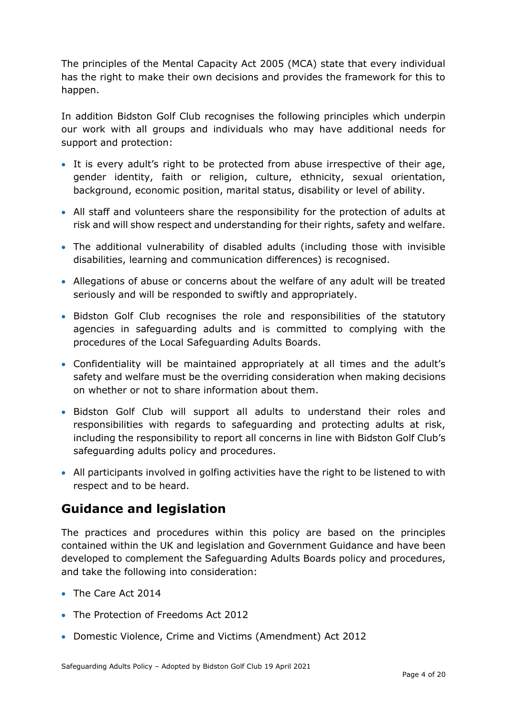The principles of the Mental Capacity Act 2005 (MCA) state that every individual has the right to make their own decisions and provides the framework for this to happen.

In addition Bidston Golf Club recognises the following principles which underpin our work with all groups and individuals who may have additional needs for support and protection:

- It is every adult's right to be protected from abuse irrespective of their age, gender identity, faith or religion, culture, ethnicity, sexual orientation, background, economic position, marital status, disability or level of ability.
- All staff and volunteers share the responsibility for the protection of adults at risk and will show respect and understanding for their rights, safety and welfare.
- The additional vulnerability of disabled adults (including those with invisible disabilities, learning and communication differences) is recognised.
- Allegations of abuse or concerns about the welfare of any adult will be treated seriously and will be responded to swiftly and appropriately.
- Bidston Golf Club recognises the role and responsibilities of the statutory agencies in safeguarding adults and is committed to complying with the procedures of the Local Safeguarding Adults Boards.
- Confidentiality will be maintained appropriately at all times and the adult's safety and welfare must be the overriding consideration when making decisions on whether or not to share information about them.
- Bidston Golf Club will support all adults to understand their roles and responsibilities with regards to safeguarding and protecting adults at risk, including the responsibility to report all concerns in line with Bidston Golf Club's safeguarding adults policy and procedures.
- All participants involved in golfing activities have the right to be listened to with respect and to be heard.

# **Guidance and legislation**

The practices and procedures within this policy are based on the principles contained within the UK and legislation and Government Guidance and have been developed to complement the Safeguarding Adults Boards policy and procedures, and take the following into consideration:

- The Care Act 2014
- The Protection of Freedoms Act 2012
- Domestic Violence, Crime and Victims (Amendment) Act 2012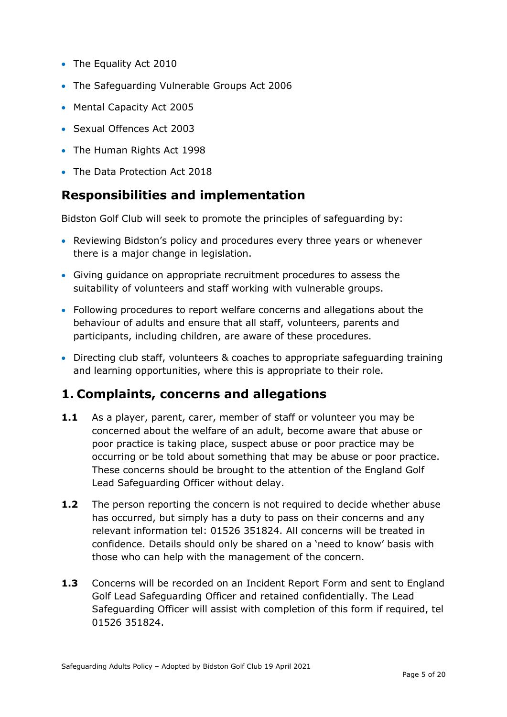- The Equality Act 2010
- The Safeguarding Vulnerable Groups Act 2006
- Mental Capacity Act 2005
- Sexual Offences Act 2003
- The Human Rights Act 1998
- The Data Protection Act 2018

# **Responsibilities and implementation**

Bidston Golf Club will seek to promote the principles of safeguarding by:

- Reviewing Bidston's policy and procedures every three years or whenever there is a major change in legislation.
- Giving guidance on appropriate recruitment procedures to assess the suitability of volunteers and staff working with vulnerable groups.
- Following procedures to report welfare concerns and allegations about the behaviour of adults and ensure that all staff, volunteers, parents and participants, including children, are aware of these procedures.
- Directing club staff, volunteers & coaches to appropriate safeguarding training and learning opportunities, where this is appropriate to their role.

# <span id="page-4-0"></span>**1. Complaints, concerns and allegations**

- **1.1** As a player, parent, carer, member of staff or volunteer you may be concerned about the welfare of an adult, become aware that abuse or poor practice is taking place, suspect abuse or poor practice may be occurring or be told about something that may be abuse or poor practice. These concerns should be brought to the attention of the England Golf Lead Safeguarding Officer without delay.
- **1.2** The person reporting the concern is not required to decide whether abuse has occurred, but simply has a duty to pass on their concerns and any relevant information tel: 01526 351824. All concerns will be treated in confidence. Details should only be shared on a 'need to know' basis with those who can help with the management of the concern.
- **1.3** Concerns will be recorded on an Incident Report Form and sent to England Golf Lead Safeguarding Officer and retained confidentially. The Lead Safeguarding Officer will assist with completion of this form if required, tel 01526 351824.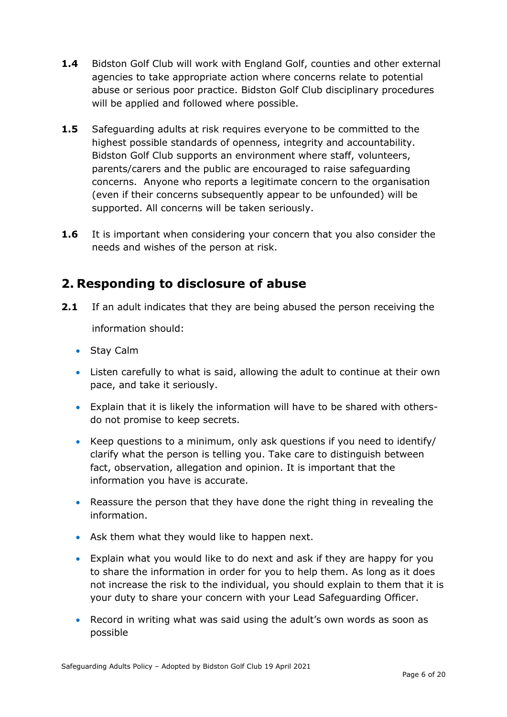- **1.4** Bidston Golf Club will work with England Golf, counties and other external agencies to take appropriate action where concerns relate to potential abuse or serious poor practice. Bidston Golf Club disciplinary procedures will be applied and followed where possible.
- **1.5** Safeguarding adults at risk requires everyone to be committed to the highest possible standards of openness, integrity and accountability. Bidston Golf Club supports an environment where staff, volunteers, parents/carers and the public are encouraged to raise safeguarding concerns. Anyone who reports a legitimate concern to the organisation (even if their concerns subsequently appear to be unfounded) will be supported. All concerns will be taken seriously.
- **1.6** It is important when considering your concern that you also consider the needs and wishes of the person at risk.

# **2. Responding to disclosure of abuse**

**2.1** If an adult indicates that they are being abused the person receiving the

information should:

- Stay Calm
- Listen carefully to what is said, allowing the adult to continue at their own pace, and take it seriously.
- Explain that it is likely the information will have to be shared with othersdo not promise to keep secrets.
- Keep questions to a minimum, only ask questions if you need to identify/ clarify what the person is telling you. Take care to distinguish between fact, observation, allegation and opinion. It is important that the information you have is accurate.
- Reassure the person that they have done the right thing in revealing the information.
- Ask them what they would like to happen next.
- Explain what you would like to do next and ask if they are happy for you to share the information in order for you to help them. As long as it does not increase the risk to the individual, you should explain to them that it is your duty to share your concern with your Lead Safeguarding Officer.
- Record in writing what was said using the adult's own words as soon as possible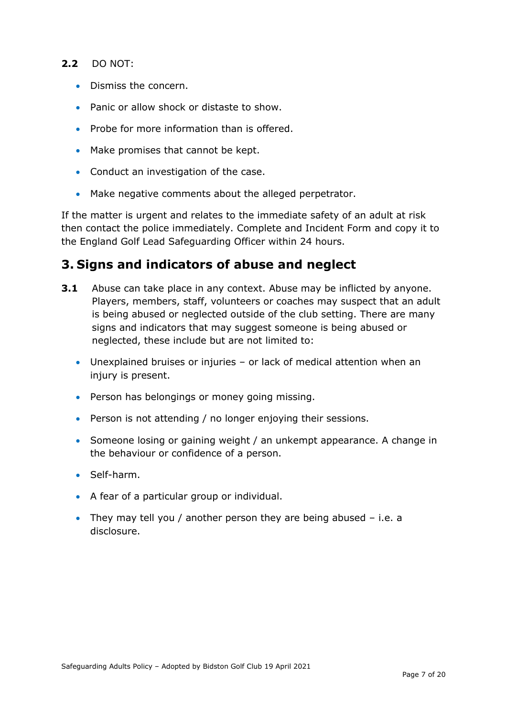## **2.2** DO NOT:

- Dismiss the concern.
- Panic or allow shock or distaste to show.
- Probe for more information than is offered.
- Make promises that cannot be kept.
- Conduct an investigation of the case.
- Make negative comments about the alleged perpetrator.

If the matter is urgent and relates to the immediate safety of an adult at risk then contact the police immediately. Complete and Incident Form and copy it to the England Golf Lead Safeguarding Officer within 24 hours.

# <span id="page-6-0"></span>**3. Signs and indicators of abuse and neglect**

- **3.1** Abuse can take place in any context. Abuse may be inflicted by anyone. Players, members, staff, volunteers or coaches may suspect that an adult is being abused or neglected outside of the club setting. There are many signs and indicators that may suggest someone is being abused or neglected, these include but are not limited to:
	- Unexplained bruises or injuries or lack of medical attention when an injury is present.
	- Person has belongings or money going missing.
	- Person is not attending / no longer enjoying their sessions.
	- Someone losing or gaining weight / an unkempt appearance. A change in the behaviour or confidence of a person.
	- Self-harm.
	- A fear of a particular group or individual.
	- They may tell you / another person they are being abused  $-$  i.e. a disclosure.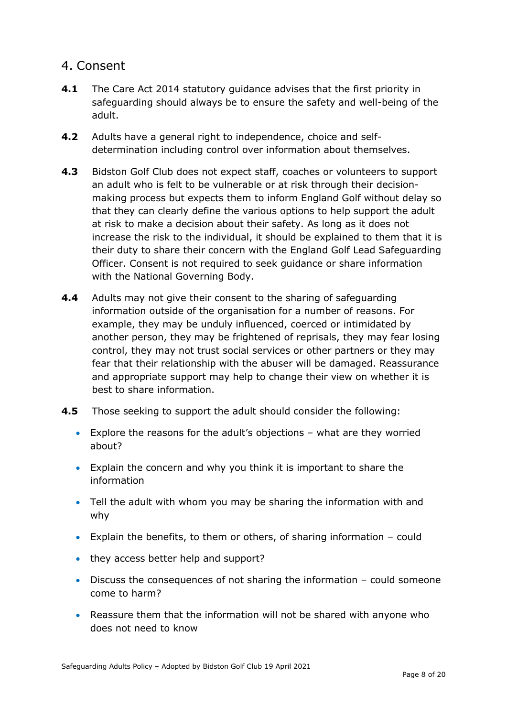# <span id="page-7-0"></span>4. Consent

- **4.1** The Care Act 2014 statutory guidance advises that the first priority in safeguarding should always be to ensure the safety and well-being of the adult.
- **4.2** Adults have a general right to independence, choice and selfdetermination including control over information about themselves.
- **4.3** Bidston Golf Club does not expect staff, coaches or volunteers to support an adult who is felt to be vulnerable or at risk through their decisionmaking process but expects them to inform England Golf without delay so that they can clearly define the various options to help support the adult at risk to make a decision about their safety. As long as it does not increase the risk to the individual, it should be explained to them that it is their duty to share their concern with the England Golf Lead Safeguarding Officer. Consent is not required to seek guidance or share information with the National Governing Body.
- **4.4** Adults may not give their consent to the sharing of safeguarding information outside of the organisation for a number of reasons. For example, they may be unduly influenced, coerced or intimidated by another person, they may be frightened of reprisals, they may fear losing control, they may not trust social services or other partners or they may fear that their relationship with the abuser will be damaged. Reassurance and appropriate support may help to change their view on whether it is best to share information.
- **4.5** Those seeking to support the adult should consider the following:
	- Explore the reasons for the adult's objections what are they worried about?
	- Explain the concern and why you think it is important to share the information
	- Tell the adult with whom you may be sharing the information with and why
	- Explain the benefits, to them or others, of sharing information could
	- they access better help and support?
	- Discuss the consequences of not sharing the information could someone come to harm?
	- Reassure them that the information will not be shared with anyone who does not need to know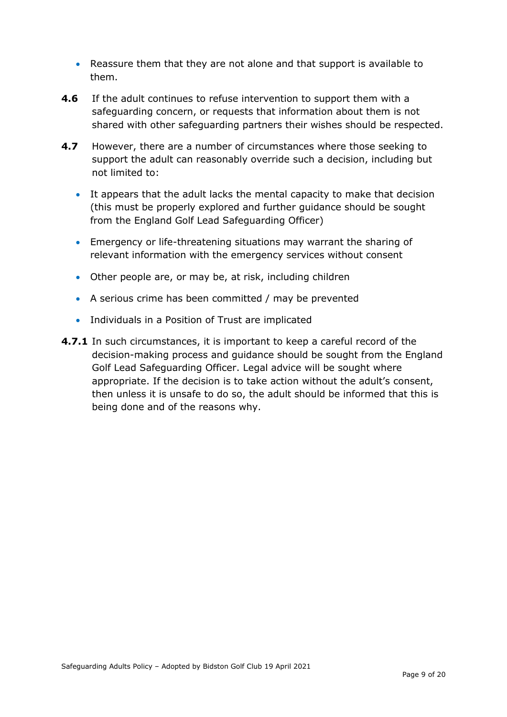- Reassure them that they are not alone and that support is available to them.
- **4.6** If the adult continues to refuse intervention to support them with a safeguarding concern, or requests that information about them is not shared with other safeguarding partners their wishes should be respected.
- **4.7** However, there are a number of circumstances where those seeking to support the adult can reasonably override such a decision, including but not limited to:
	- It appears that the adult lacks the mental capacity to make that decision (this must be properly explored and further guidance should be sought from the England Golf Lead Safeguarding Officer)
	- Emergency or life-threatening situations may warrant the sharing of relevant information with the emergency services without consent
	- Other people are, or may be, at risk, including children
	- A serious crime has been committed / may be prevented
	- Individuals in a Position of Trust are implicated
- **4.7.1** In such circumstances, it is important to keep a careful record of the decision-making process and guidance should be sought from the England Golf Lead Safeguarding Officer. Legal advice will be sought where appropriate. If the decision is to take action without the adult's consent, then unless it is unsafe to do so, the adult should be informed that this is being done and of the reasons why.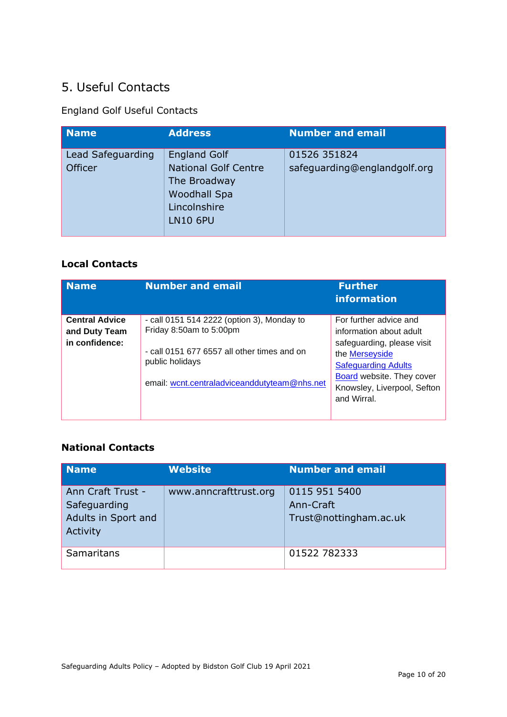# <span id="page-9-0"></span>5. Useful Contacts

## England Golf Useful Contacts

| <b>Name</b>                         | <b>Address</b>                                                                                                               | <b>Number and email</b>                      |
|-------------------------------------|------------------------------------------------------------------------------------------------------------------------------|----------------------------------------------|
| Lead Safeguarding<br><b>Officer</b> | <b>England Golf</b><br><b>National Golf Centre</b><br>The Broadway<br><b>Woodhall Spa</b><br>Lincolnshire<br><b>LN10 6PU</b> | 01526 351824<br>safeguarding@englandgolf.org |

## **Local Contacts**

| <b>Name</b>                                              | <b>Number and email</b>                                               | <b>Further</b><br><b>information</b>                                            |
|----------------------------------------------------------|-----------------------------------------------------------------------|---------------------------------------------------------------------------------|
| <b>Central Advice</b><br>and Duty Team<br>in confidence: | - call 0151 514 2222 (option 3), Monday to<br>Friday 8:50am to 5:00pm | For further advice and<br>information about adult<br>safeguarding, please visit |
|                                                          | - call 0151 677 6557 all other times and on<br>public holidays        | the Merseyside<br><b>Safeguarding Adults</b>                                    |
|                                                          | email: wcnt.centraladviceanddutyteam@nhs.net                          | Board website. They cover<br>Knowsley, Liverpool, Sefton<br>and Wirral.         |
|                                                          |                                                                       |                                                                                 |

## **National Contacts**

| <b>Name</b>                                                          | <b>Website</b>        | Number and email                                     |
|----------------------------------------------------------------------|-----------------------|------------------------------------------------------|
| Ann Craft Trust -<br>Safeguarding<br>Adults in Sport and<br>Activity | www.anncrafttrust.org | 0115 951 5400<br>Ann-Craft<br>Trust@nottingham.ac.uk |
| Samaritans                                                           |                       | 01522 782333                                         |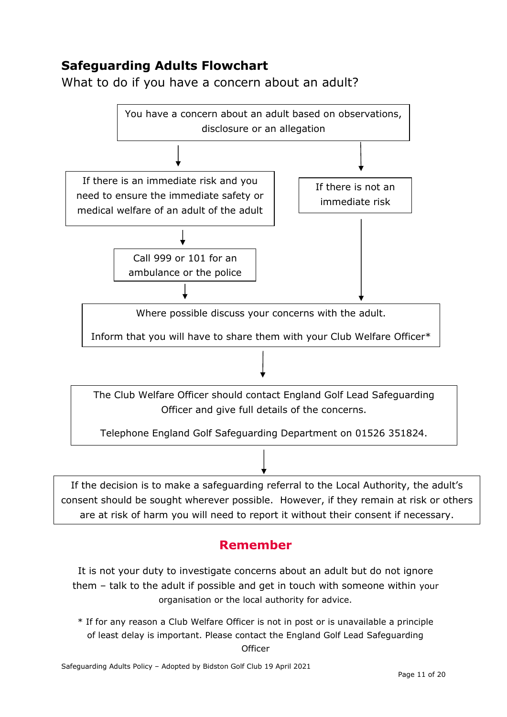# **Safeguarding Adults Flowchart**

What to do if you have a concern about an adult?



# **Remember**

It is not your duty to investigate concerns about an adult but do not ignore them – talk to the adult if possible and get in touch with someone within your organisation or the local authority for advice.

\* If for any reason a Club Welfare Officer is not in post or is unavailable a principle of least delay is important. Please contact the England Golf Lead Safeguarding **Officer** 

Safeguarding Adults Policy – Adopted by Bidston Golf Club 19 April 2021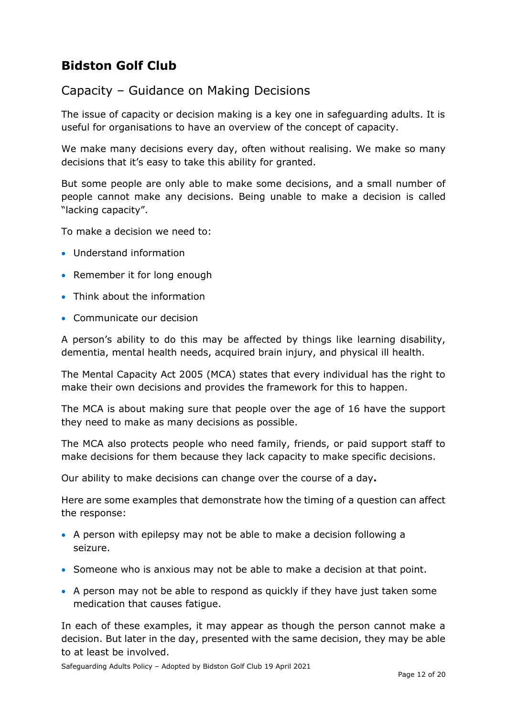# <span id="page-11-0"></span>**Bidston Golf Club**

# Capacity – Guidance on Making Decisions

The issue of capacity or decision making is a key one in safeguarding adults. It is useful for organisations to have an overview of the concept of capacity.

We make many decisions every day, often without realising. We make so many decisions that it's easy to take this ability for granted.

But some people are only able to make some decisions, and a small number of people cannot make any decisions. Being unable to make a decision is called "lacking capacity".

To make a decision we need to:

- Understand information
- Remember it for long enough
- Think about the information
- Communicate our decision

A person's ability to do this may be affected by things like learning disability, dementia, mental health needs, acquired brain injury, and physical ill health.

The Mental Capacity Act 2005 (MCA) states that every individual has the right to make their own decisions and provides the framework for this to happen.

The MCA is about making sure that people over the age of 16 have the support they need to make as many decisions as possible.

The MCA also protects people who need family, friends, or paid support staff to make decisions for them because they lack capacity to make specific decisions.

Our ability to make decisions can change over the course of a day**.**

Here are some examples that demonstrate how the timing of a question can affect the response:

- A person with epilepsy may not be able to make a decision following a seizure.
- Someone who is anxious may not be able to make a decision at that point.
- A person may not be able to respond as quickly if they have just taken some medication that causes fatigue.

In each of these examples, it may appear as though the person cannot make a decision. But later in the day, presented with the same decision, they may be able to at least be involved.

Safeguarding Adults Policy – Adopted by Bidston Golf Club 19 April 2021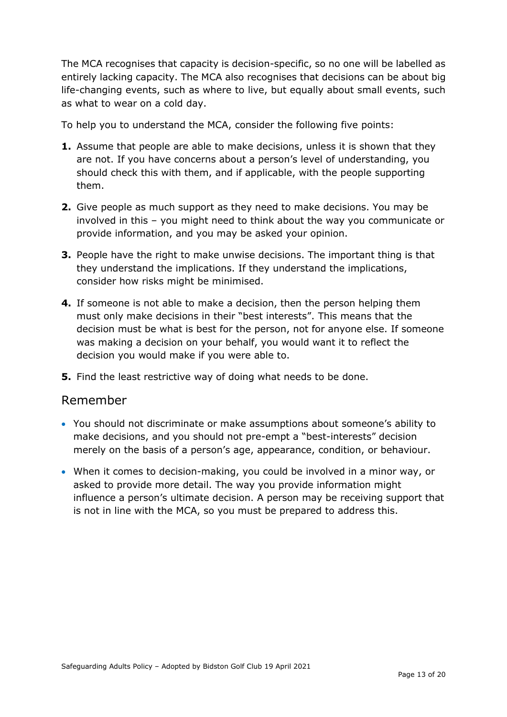The MCA recognises that capacity is decision-specific, so no one will be labelled as entirely lacking capacity. The MCA also recognises that decisions can be about big life-changing events, such as where to live, but equally about small events, such as what to wear on a cold day.

To help you to understand the MCA, consider the following five points:

- **1.** Assume that people are able to make decisions, unless it is shown that they are not. If you have concerns about a person's level of understanding, you should check this with them, and if applicable, with the people supporting them.
- **2.** Give people as much support as they need to make decisions. You may be involved in this – you might need to think about the way you communicate or provide information, and you may be asked your opinion.
- **3.** People have the right to make unwise decisions. The important thing is that they understand the implications. If they understand the implications, consider how risks might be minimised.
- **4.** If someone is not able to make a decision, then the person helping them must only make decisions in their "best interests". This means that the decision must be what is best for the person, not for anyone else. If someone was making a decision on your behalf, you would want it to reflect the decision you would make if you were able to.
- **5.** Find the least restrictive way of doing what needs to be done.

## Remember

- You should not discriminate or make assumptions about someone's ability to make decisions, and you should not pre-empt a "best-interests" decision merely on the basis of a person's age, appearance, condition, or behaviour.
- <span id="page-12-0"></span>• When it comes to decision-making, you could be involved in a minor way, or asked to provide more detail. The way you provide information might influence a person's ultimate decision. A person may be receiving support that is not in line with the MCA, so you must be prepared to address this.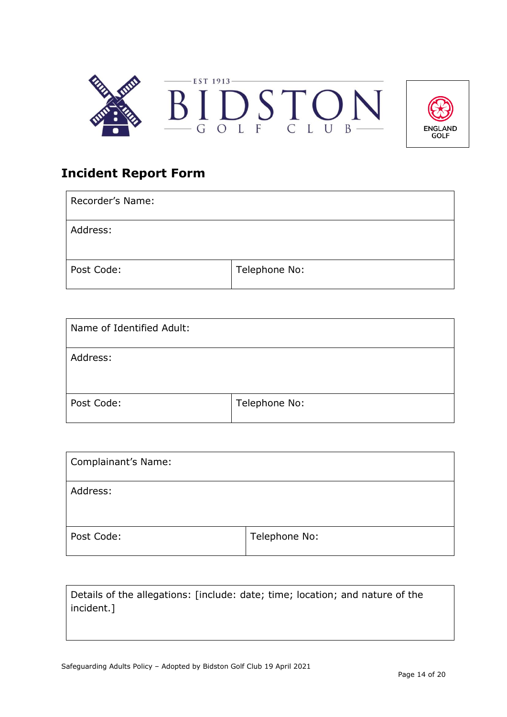



# **Incident Report Form**

| Recorder's Name: |               |
|------------------|---------------|
| Address:         |               |
| Post Code:       | Telephone No: |

| Name of Identified Adult: |               |
|---------------------------|---------------|
| Address:                  |               |
| Post Code:                | Telephone No: |

| Complainant's Name: |               |
|---------------------|---------------|
| Address:            |               |
| Post Code:          | Telephone No: |

| Details of the allegations: [include: date; time; location; and nature of the |  |
|-------------------------------------------------------------------------------|--|
| incident.]                                                                    |  |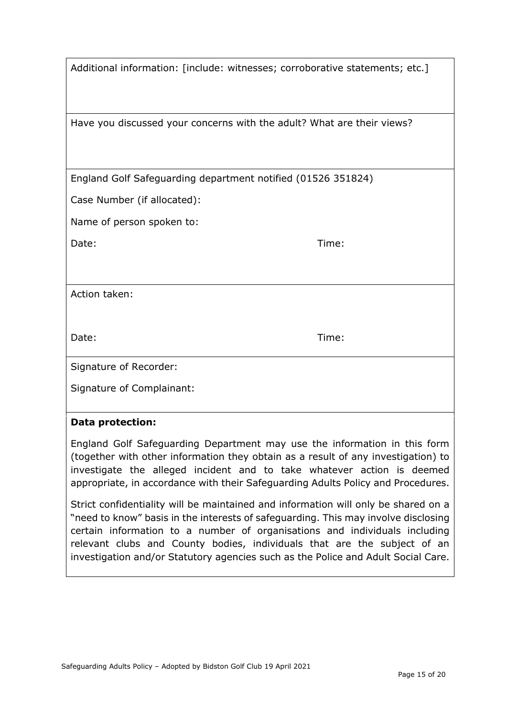| Additional information: [include: witnesses; corroborative statements; etc.] |  |  |  |
|------------------------------------------------------------------------------|--|--|--|
|------------------------------------------------------------------------------|--|--|--|

Have you discussed your concerns with the adult? What are their views?

| England Golf Safeguarding department notified (01526 351824) |
|--------------------------------------------------------------|
|--------------------------------------------------------------|

Case Number (if allocated):

Name of person spoken to:

Date: Time: Time: Time: Time: Time: Time: Time: Time: Time: Time: Time: Time: Time: Time: Time: Time: Time: Time: Time: Time: Time: Time: Time: Time: Time: Time: Time: Time: Time: Time: Time: Time: Time: Time: Time: Time:

Action taken:

Date: Time: Time: Time: Time: Time: Time: Time: Time: Time: Time: Time: Time: Time: Time: Time: Time: Time: Time: Time: Time: Time: Time: Time: Time: Time: Time: Time: Time: Time: Time: Time: Time: Time: Time: Time: Time:

Signature of Recorder:

Signature of Complainant:

## **Data protection:**

England Golf Safeguarding Department may use the information in this form (together with other information they obtain as a result of any investigation) to investigate the alleged incident and to take whatever action is deemed appropriate, in accordance with their Safeguarding Adults Policy and Procedures.

<span id="page-14-0"></span>Strict confidentiality will be maintained and information will only be shared on a "need to know" basis in the interests of safeguarding. This may involve disclosing certain information to a number of organisations and individuals including relevant clubs and County bodies, individuals that are the subject of an investigation and/or Statutory agencies such as the Police and Adult Social Care.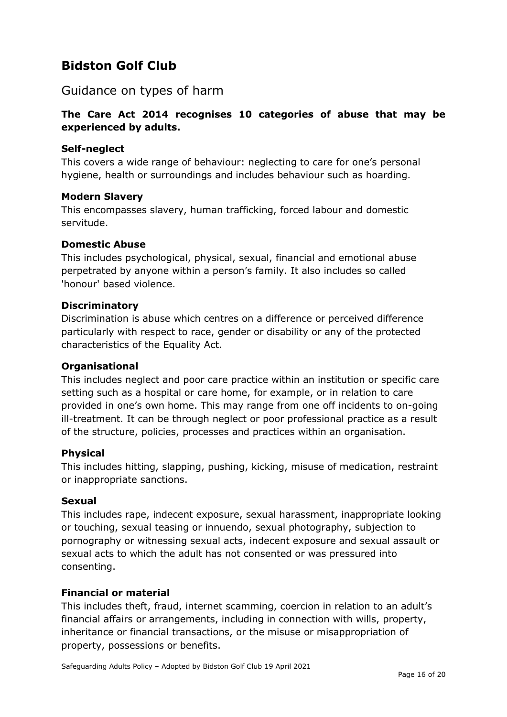# **Bidston Golf Club**

## Guidance on types of harm

## **The Care Act 2014 recognises 10 categories of abuse that may be experienced by adults.**

## **Self-neglect**

This covers a wide range of behaviour: neglecting to care for one's personal hygiene, health or surroundings and includes behaviour such as hoarding.

#### **Modern Slavery**

This encompasses slavery, human trafficking, forced labour and domestic servitude.

#### **Domestic Abuse**

This includes psychological, physical, sexual, financial and emotional abuse perpetrated by anyone within a person's family. It also includes so called 'honour' based violence.

#### **Discriminatory**

Discrimination is abuse which centres on a difference or perceived difference particularly with respect to race, gender or disability or any of the protected characteristics of the Equality Act.

## **Organisational**

This includes neglect and poor care practice within an institution or specific care setting such as a hospital or care home, for example, or in relation to care provided in one's own home. This may range from one off incidents to on-going ill-treatment. It can be through neglect or poor professional practice as a result of the structure, policies, processes and practices within an organisation.

#### **Physical**

This includes hitting, slapping, pushing, kicking, misuse of medication, restraint or inappropriate sanctions.

#### **Sexual**

This includes rape, indecent exposure, sexual harassment, inappropriate looking or touching, sexual teasing or innuendo, sexual photography, subjection to pornography or witnessing sexual acts, indecent exposure and sexual assault or sexual acts to which the adult has not consented or was pressured into consenting.

#### **Financial or material**

This includes theft, fraud, internet scamming, coercion in relation to an adult's financial affairs or arrangements, including in connection with wills, property, inheritance or financial transactions, or the misuse or misappropriation of property, possessions or benefits.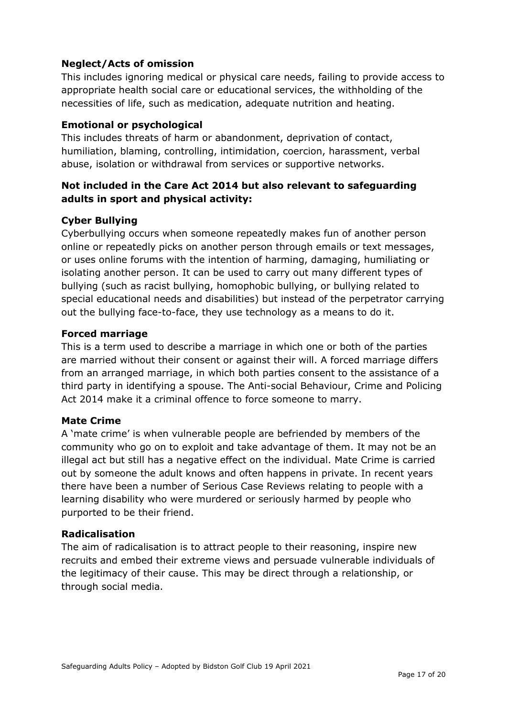## **Neglect/Acts of omission**

This includes ignoring medical or physical care needs, failing to provide access to appropriate health social care or educational services, the withholding of the necessities of life, such as medication, adequate nutrition and heating.

## **Emotional or psychological**

This includes threats of harm or abandonment, deprivation of contact, humiliation, blaming, controlling, intimidation, coercion, harassment, verbal abuse, isolation or withdrawal from services or supportive networks.

## **Not included in the Care Act 2014 but also relevant to safeguarding adults in sport and physical activity:**

## **Cyber Bullying**

Cyberbullying occurs when someone repeatedly makes fun of another person online or repeatedly picks on another person through emails or text messages, or uses online forums with the intention of harming, damaging, humiliating or isolating another person. It can be used to carry out many different types of bullying (such as racist bullying, homophobic bullying, or bullying related to special educational needs and disabilities) but instead of the perpetrator carrying out the bullying face-to-face, they use technology as a means to do it.

## **Forced marriage**

This is a term used to describe a marriage in which one or both of the parties are married without their consent or against their will. A forced marriage differs from an arranged marriage, in which both parties consent to the assistance of a third party in identifying a spouse. The Anti-social Behaviour, Crime and Policing Act 2014 make it a criminal offence to force someone to marry.

#### **Mate Crime**

A 'mate crime' is when vulnerable people are befriended by members of the community who go on to exploit and take advantage of them. It may not be an illegal act but still has a negative effect on the individual. Mate Crime is carried out by someone the adult knows and often happens in private. In recent years there have been a number of Serious Case Reviews relating to people with a learning disability who were murdered or seriously harmed by people who purported to be their friend.

#### **Radicalisation**

The aim of radicalisation is to attract people to their reasoning, inspire new recruits and embed their extreme views and persuade vulnerable individuals of the legitimacy of their cause. This may be direct through a relationship, or through social media.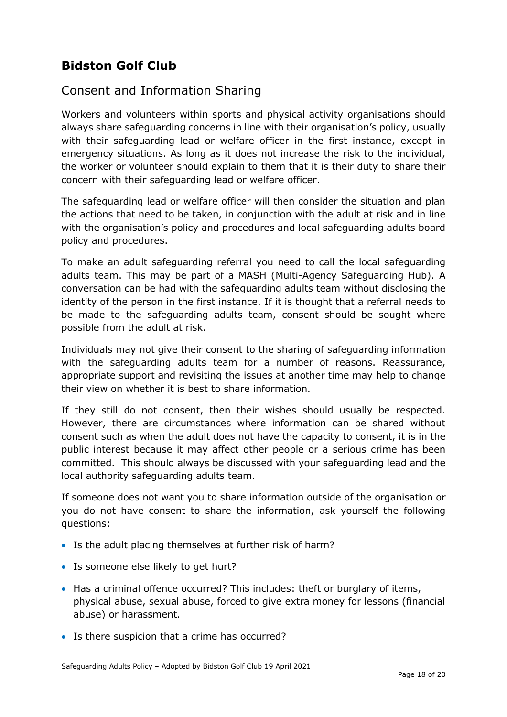# **Bidston Golf Club**

# Consent and Information Sharing

Workers and volunteers within sports and physical activity organisations should always share safeguarding concerns in line with their organisation's policy, usually with their safeguarding lead or welfare officer in the first instance, except in emergency situations. As long as it does not increase the risk to the individual, the worker or volunteer should explain to them that it is their duty to share their concern with their safeguarding lead or welfare officer.

The safeguarding lead or welfare officer will then consider the situation and plan the actions that need to be taken, in conjunction with the adult at risk and in line with the organisation's policy and procedures and local safeguarding adults board policy and procedures.

To make an adult safeguarding referral you need to call the local safeguarding adults team. This may be part of a MASH (Multi*-*Agency Safeguarding Hub). A conversation can be had with the safeguarding adults team without disclosing the identity of the person in the first instance. If it is thought that a referral needs to be made to the safeguarding adults team, consent should be sought where possible from the adult at risk.

Individuals may not give their consent to the sharing of safeguarding information with the safeguarding adults team for a number of reasons. Reassurance, appropriate support and revisiting the issues at another time may help to change their view on whether it is best to share information.

If they still do not consent, then their wishes should usually be respected. However, there are circumstances where information can be shared without consent such as when the adult does not have the capacity to consent, it is in the public interest because it may affect other people or a serious crime has been committed. This should always be discussed with your safeguarding lead and the local authority safeguarding adults team.

If someone does not want you to share information outside of the organisation or you do not have consent to share the information, ask yourself the following questions:

- Is the adult placing themselves at further risk of harm?
- Is someone else likely to get hurt?
- Has a criminal offence occurred? This includes: theft or burglary of items, physical abuse, sexual abuse, forced to give extra money for lessons (financial abuse) or harassment.
- Is there suspicion that a crime has occurred?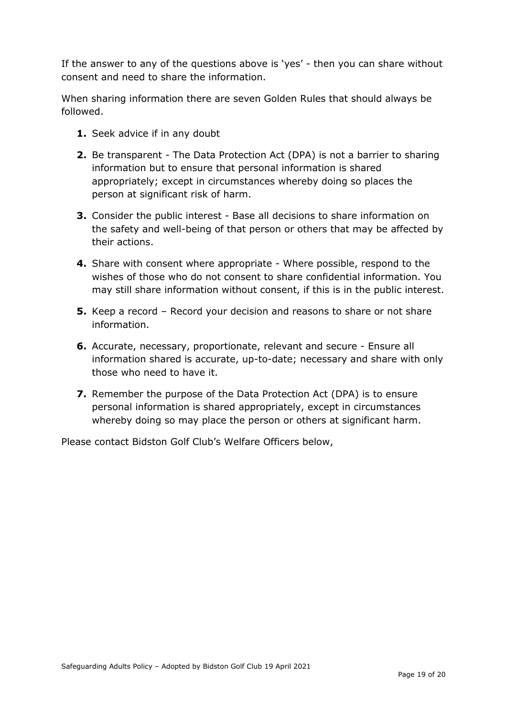If the answer to any of the questions above is 'yes' - then you can share without consent and need to share the information.

When sharing information there are seven Golden Rules that should always be followed.

- **1.** Seek advice if in any doubt
- **2.** Be transparent The Data Protection Act (DPA) is not a barrier to sharing information but to ensure that personal information is shared appropriately; except in circumstances whereby doing so places the person at significant risk of harm.
- **3.** Consider the public interest Base all decisions to share information on the safety and well-being of that person or others that may be affected by their actions.
- **4.** Share with consent where appropriate Where possible, respond to the wishes of those who do not consent to share confidential information. You may still share information without consent, if this is in the public interest.
- **5.** Keep a record Record your decision and reasons to share or not share information.
- **6.** Accurate, necessary, proportionate, relevant and secure Ensure all information shared is accurate, up-to-date; necessary and share with only those who need to have it.
- **7.** Remember the purpose of the Data Protection Act (DPA) is to ensure personal information is shared appropriately, except in circumstances whereby doing so may place the person or others at significant harm.

Please contact Bidston Golf Club's Welfare Officers below,